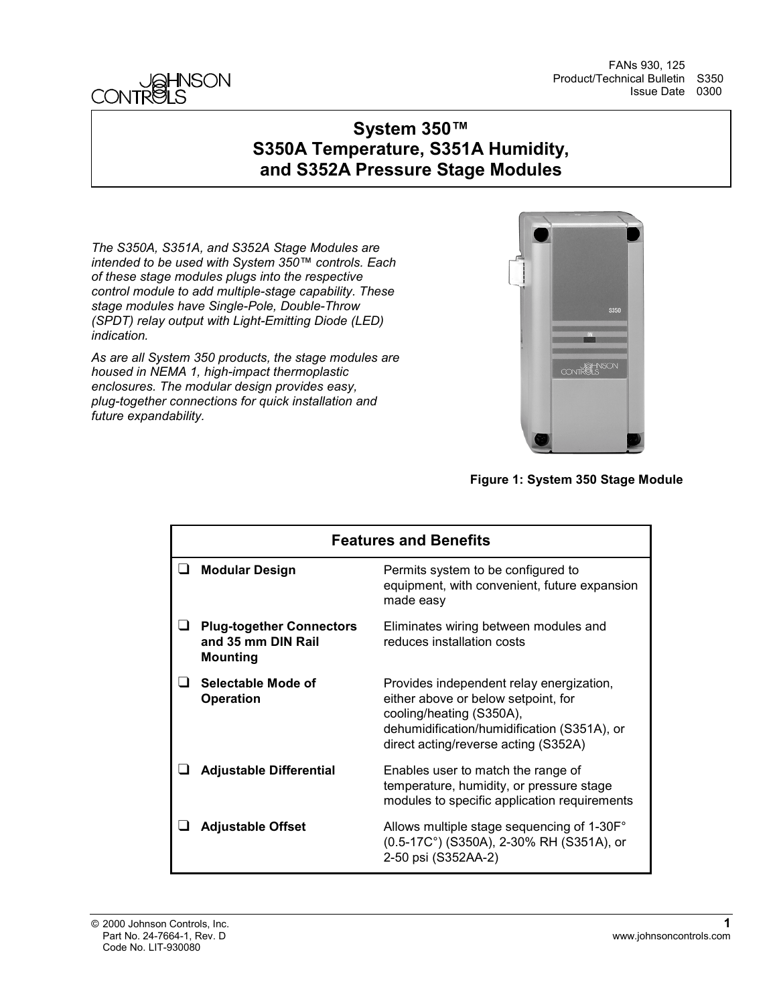

FANs 930, 125 Product/Technical Bulletin S350 Issue Date 0300

### **System 350™ S350A Temperature, S351A Humidity, and S352A Pressure Stage Modules**

*The S350A, S351A, and S352A Stage Modules are intended to be used with System 350™ controls. Each of these stage modules plugs into the respective control module to add multiple-stage capability. These stage modules have Single-Pole, Double-Throw (SPDT) relay output with Light-Emitting Diode (LED) indication.*

*As are all System 350 products, the stage modules are housed in NEMA 1, high-impact thermoplastic enclosures. The modular design provides easy, plug-together connections for quick installation and future expandability.*



**Figure 1: System 350 Stage Module**

| <b>Features and Benefits</b>                                             |                                                                                                                                                                                                    |  |  |
|--------------------------------------------------------------------------|----------------------------------------------------------------------------------------------------------------------------------------------------------------------------------------------------|--|--|
| <b>Modular Design</b>                                                    | Permits system to be configured to<br>equipment, with convenient, future expansion<br>made easy                                                                                                    |  |  |
| <b>Plug-together Connectors</b><br>and 35 mm DIN Rail<br><b>Mounting</b> | Eliminates wiring between modules and<br>reduces installation costs                                                                                                                                |  |  |
| Selectable Mode of<br><b>Operation</b>                                   | Provides independent relay energization,<br>either above or below setpoint, for<br>cooling/heating (S350A),<br>dehumidification/humidification (S351A), or<br>direct acting/reverse acting (S352A) |  |  |
| <b>Adjustable Differential</b>                                           | Enables user to match the range of<br>temperature, humidity, or pressure stage<br>modules to specific application requirements                                                                     |  |  |
| <b>Adjustable Offset</b>                                                 | Allows multiple stage sequencing of 1-30F°<br>(0.5-17C°) (S350A), 2-30% RH (S351A), or<br>2-50 psi (S352AA-2)                                                                                      |  |  |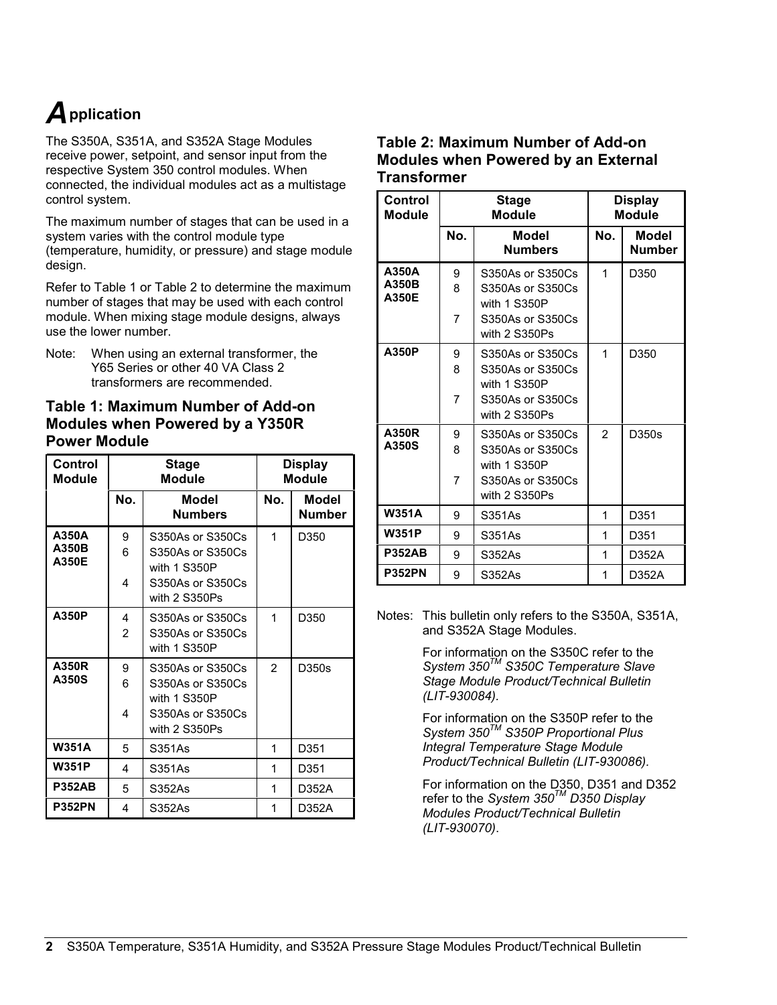## *A***pplication**

The S350A, S351A, and S352A Stage Modules receive power, setpoint, and sensor input from the respective System 350 control modules. When connected, the individual modules act as a multistage control system.

The maximum number of stages that can be used in a system varies with the control module type (temperature, humidity, or pressure) and stage module design.

Refer to Table 1 or Table 2 to determine the maximum number of stages that may be used with each control module. When mixing stage module designs, always use the lower number.

Note: When using an external transformer, the Y65 Series or other 40 VA Class 2 transformers are recommended.

#### **Table 1: Maximum Number of Add-on Modules when Powered by a Y350R Power Module**

| Control<br><b>Module</b> |                     | <b>Stage</b><br>Module                                                                    |                | <b>Display</b><br>Module |
|--------------------------|---------------------|-------------------------------------------------------------------------------------------|----------------|--------------------------|
|                          | No.                 | Model<br><b>Numbers</b>                                                                   | No.            | Model<br>Number          |
| A350A<br>A350B<br>A350E  | 9<br>6<br>4         | S350As or S350Cs<br>S350As or S350Cs<br>with 1 S350P<br>S350As or S350Cs<br>with 2 S350Ps | 1              | D350                     |
| A350P                    | 4<br>$\mathfrak{p}$ | S350As or S350Cs<br>S350As or S350Cs<br>with 1 S350P                                      | 1              | D350                     |
| A350R<br>A350S           | 9<br>6<br>4         | S350As or S350Cs<br>S350As or S350Cs<br>with 1 S350P<br>S350As or S350Cs<br>with 2 S350Ps | $\overline{2}$ | D350s                    |
| <b>W351A</b>             | 5                   | S351As                                                                                    | 1              | D351                     |
| <b>W351P</b>             | 4                   | S351As                                                                                    | 1              | D351                     |
| <b>P352AB</b>            | 5                   | S352As                                                                                    | 1              | D352A                    |
| <b>P352PN</b>            | 4                   | S352As                                                                                    | 1              | D352A                    |

#### **Table 2: Maximum Number of Add-on Modules when Powered by an External Transformer**

| Control<br><b>Module</b> |             | Stage<br><b>Module</b>                                                                    | <b>Display</b><br><b>Module</b> |                        |
|--------------------------|-------------|-------------------------------------------------------------------------------------------|---------------------------------|------------------------|
|                          | No.         | Model<br><b>Numbers</b>                                                                   | No.                             | Model<br><b>Number</b> |
| A350A<br>A350B<br>A350E  | 9<br>8<br>7 | S350As or S350Cs<br>S350As or S350Cs<br>with 1 S350P<br>S350As or S350Cs<br>with 2 S350Ps | 1                               | D350                   |
| A350P                    | 9<br>8<br>7 | S350As or S350Cs<br>S350As or S350Cs<br>with 1 S350P<br>S350As or S350Cs<br>with 2 S350Ps | 1                               | D350                   |
| A350R<br>A350S           | 9<br>8<br>7 | S350As or S350Cs<br>S350As or S350Cs<br>with 1 S350P<br>S350As or S350Cs<br>with 2 S350Ps | $\mathfrak{p}$                  | D350s                  |
| <b>W351A</b>             | 9           | S351As                                                                                    | 1                               | D351                   |
| <b>W351P</b>             | 9           | S351As                                                                                    | 1                               | D351                   |
| <b>P352AB</b>            | 9           | S352As                                                                                    | 1                               | D352A                  |
| <b>P352PN</b>            | 9           | S352As                                                                                    | 1                               | D352A                  |

Notes: This bulletin only refers to the S350A, S351A, and S352A Stage Modules.

> For information on the S350C refer to the *System 350TM S350C Temperature Slave Stage Module Product/Technical Bulletin (LIT-930084).*

> For information on the S350P refer to the *System 350TM S350P Proportional Plus Integral Temperature Stage Module Product/Technical Bulletin (LIT-930086).*

For information on the D350, D351 and D352 refer to the *System 350TM D350 Display Modules Product/Technical Bulletin (LIT-930070)*.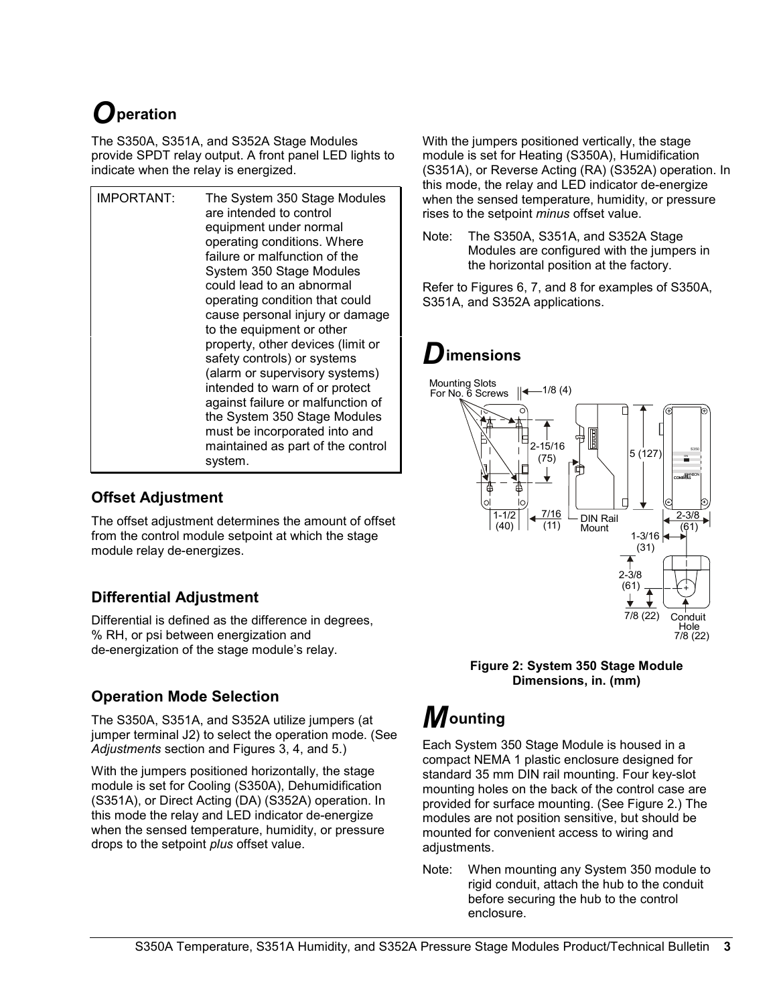## *O***peration**

The S350A, S351A, and S352A Stage Modules provide SPDT relay output. A front panel LED lights to indicate when the relay is energized.

| IMPORTANT: | The System 350 Stage Modules<br>are intended to control<br>equipment under normal<br>operating conditions. Where<br>failure or malfunction of the<br>System 350 Stage Modules<br>could lead to an abnormal<br>operating condition that could<br>cause personal injury or damage<br>to the equipment or other<br>property, other devices (limit or<br>safety controls) or systems<br>(alarm or supervisory systems)<br>intended to warn of or protect<br>against failure or malfunction of<br>the System 350 Stage Modules<br>must be incorporated into and<br>maintained as part of the control |
|------------|-------------------------------------------------------------------------------------------------------------------------------------------------------------------------------------------------------------------------------------------------------------------------------------------------------------------------------------------------------------------------------------------------------------------------------------------------------------------------------------------------------------------------------------------------------------------------------------------------|
|            | svstem.                                                                                                                                                                                                                                                                                                                                                                                                                                                                                                                                                                                         |

### **Offset Adjustment**

The offset adjustment determines the amount of offset from the control module setpoint at which the stage module relay de-energizes.

### **Differential Adjustment**

Differential is defined as the difference in degrees, % RH, or psi between energization and de-energization of the stage module's relay.

### **Operation Mode Selection**

The S350A, S351A, and S352A utilize jumpers (at jumper terminal J2) to select the operation mode. (See *Adjustments* section and Figures 3, 4, and 5.)

With the jumpers positioned horizontally, the stage module is set for Cooling (S350A), Dehumidification (S351A), or Direct Acting (DA) (S352A) operation. In this mode the relay and LED indicator de-energize when the sensed temperature, humidity, or pressure drops to the setpoint *plus* offset value.

With the jumpers positioned vertically, the stage module is set for Heating (S350A), Humidification (S351A), or Reverse Acting (RA) (S352A) operation. In this mode, the relay and LED indicator de-energize when the sensed temperature, humidity, or pressure rises to the setpoint *minus* offset value.

Note: The S350A, S351A, and S352A Stage Modules are configured with the jumpers in the horizontal position at the factory.

Refer to Figures 6, 7, and 8 for examples of S350A, S351A, and S352A applications.

### *D***imensions**



**Figure 2: System 350 Stage Module Dimensions, in. (mm)**

# *M***ounting**

Each System 350 Stage Module is housed in a compact NEMA 1 plastic enclosure designed for standard 35 mm DIN rail mounting. Four key-slot mounting holes on the back of the control case are provided for surface mounting. (See Figure 2.) The modules are not position sensitive, but should be mounted for convenient access to wiring and adiustments.

Note: When mounting any System 350 module to rigid conduit, attach the hub to the conduit before securing the hub to the control enclosure.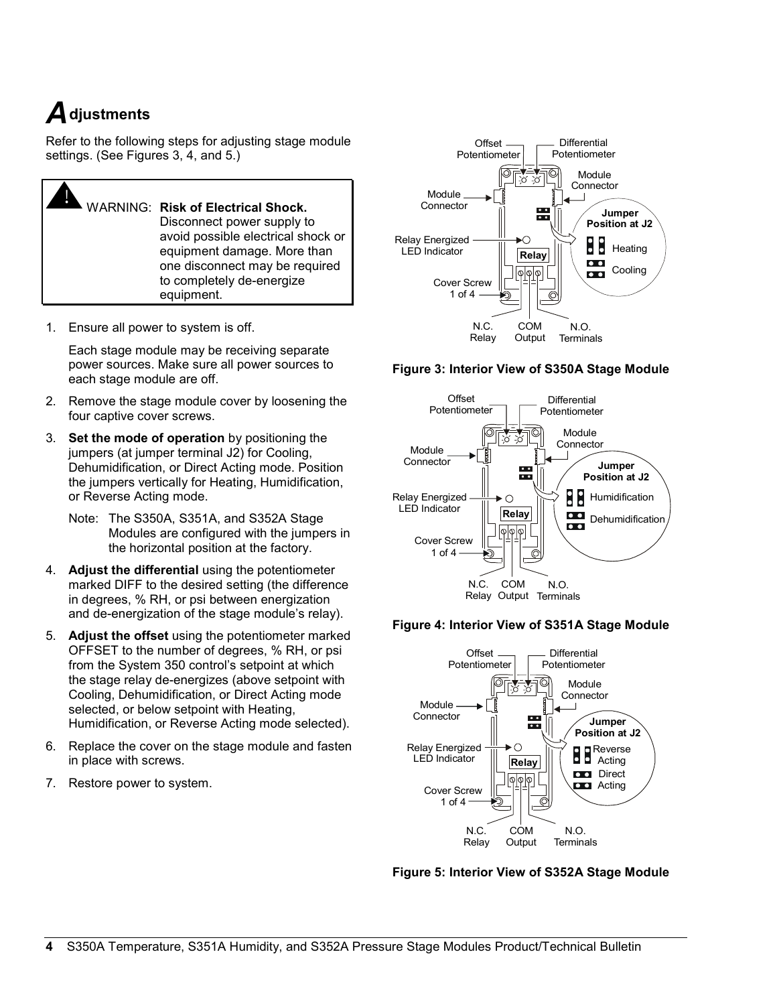## *A***djustments**

Refer to the following steps for adjusting stage module settings. (See Figures 3, 4, and 5.)

! WARNING: **Risk of Electrical Shock.** Disconnect power supply to avoid possible electrical shock or equipment damage. More than one disconnect may be required to completely de-energize equipment.

1. Ensure all power to system is off.

Each stage module may be receiving separate power sources. Make sure all power sources to each stage module are off.

- 2. Remove the stage module cover by loosening the four captive cover screws.
- 3. **Set the mode of operation** by positioning the jumpers (at jumper terminal J2) for Cooling, Dehumidification, or Direct Acting mode. Position the jumpers vertically for Heating, Humidification, or Reverse Acting mode.
	- Note: The S350A, S351A, and S352A Stage Modules are configured with the jumpers in the horizontal position at the factory.
- 4. **Adjust the differential** using the potentiometer marked DIFF to the desired setting (the difference in degrees, % RH, or psi between energization and de-energization of the stage module's relay).
- 5. **Adjust the offset** using the potentiometer marked OFFSET to the number of degrees, % RH, or psi from the System 350 control's setpoint at which the stage relay de-energizes (above setpoint with Cooling, Dehumidification, or Direct Acting mode selected, or below setpoint with Heating, Humidification, or Reverse Acting mode selected).
- 6. Replace the cover on the stage module and fasten in place with screws.
- 7. Restore power to system.



**Figure 3: Interior View of S350A Stage Module**



#### **Figure 4: Interior View of S351A Stage Module**



**Figure 5: Interior View of S352A Stage Module**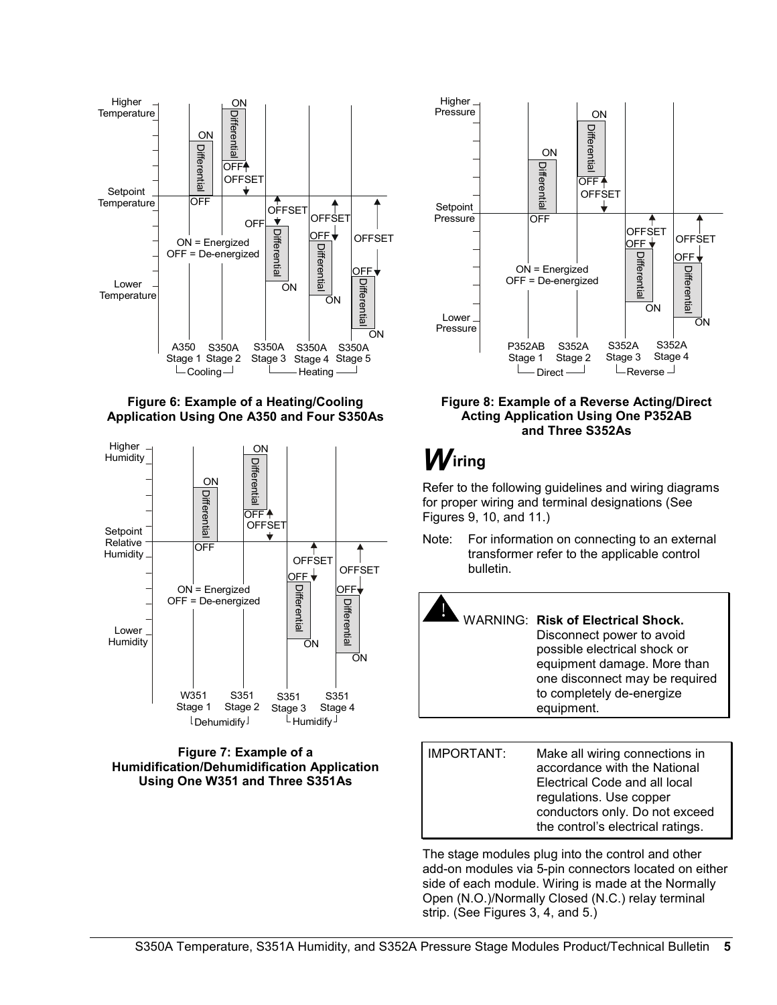





#### **Figure 7: Example of a Humidification/Dehumidification Application Using One W351 and Three S351As**



#### **Figure 8: Example of a Reverse Acting/Direct Acting Application Using One P352AB and Three S352As**

## *W***iring**

Refer to the following guidelines and wiring diagrams for proper wiring and terminal designations (See Figures 9, 10, and 11.)

Note: For information on connecting to an external transformer refer to the applicable control bulletin.



Electrical Code and all local regulations. Use copper conductors only. Do not exceed the control's electrical ratings.

The stage modules plug into the control and other add-on modules via 5-pin connectors located on either side of each module. Wiring is made at the Normally Open (N.O.)/Normally Closed (N.C.) relay terminal strip. (See Figures 3, 4, and 5.)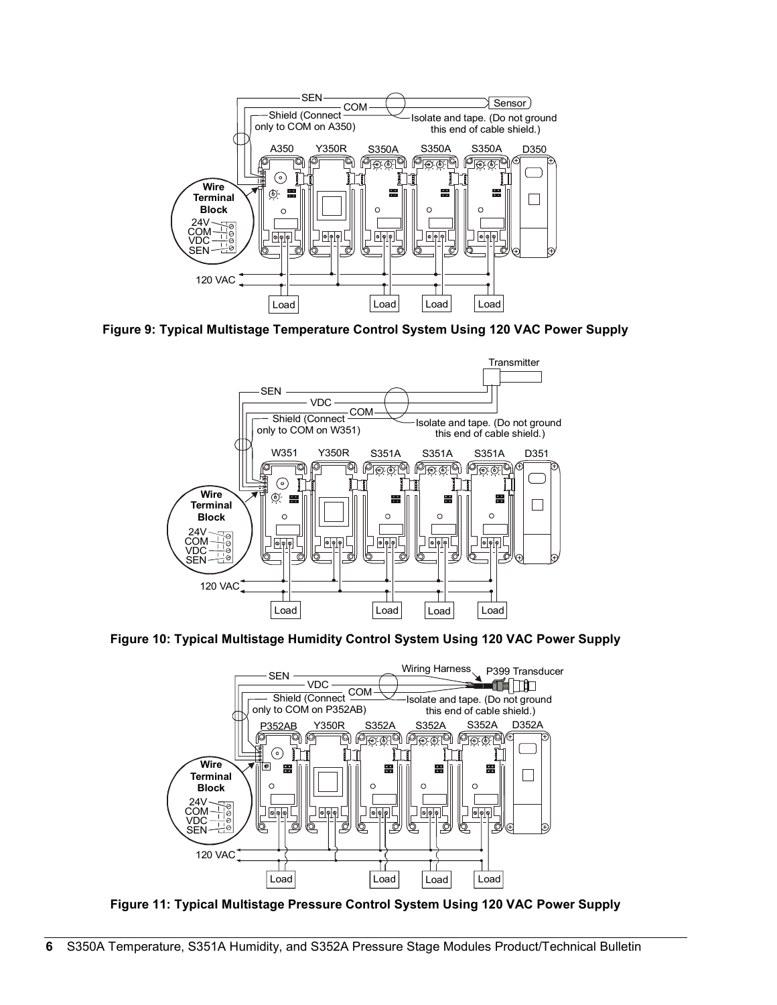

**Figure 9: Typical Multistage Temperature Control System Using 120 VAC Power Supply**



**Figure 10: Typical Multistage Humidity Control System Using 120 VAC Power Supply**



**Figure 11: Typical Multistage Pressure Control System Using 120 VAC Power Supply**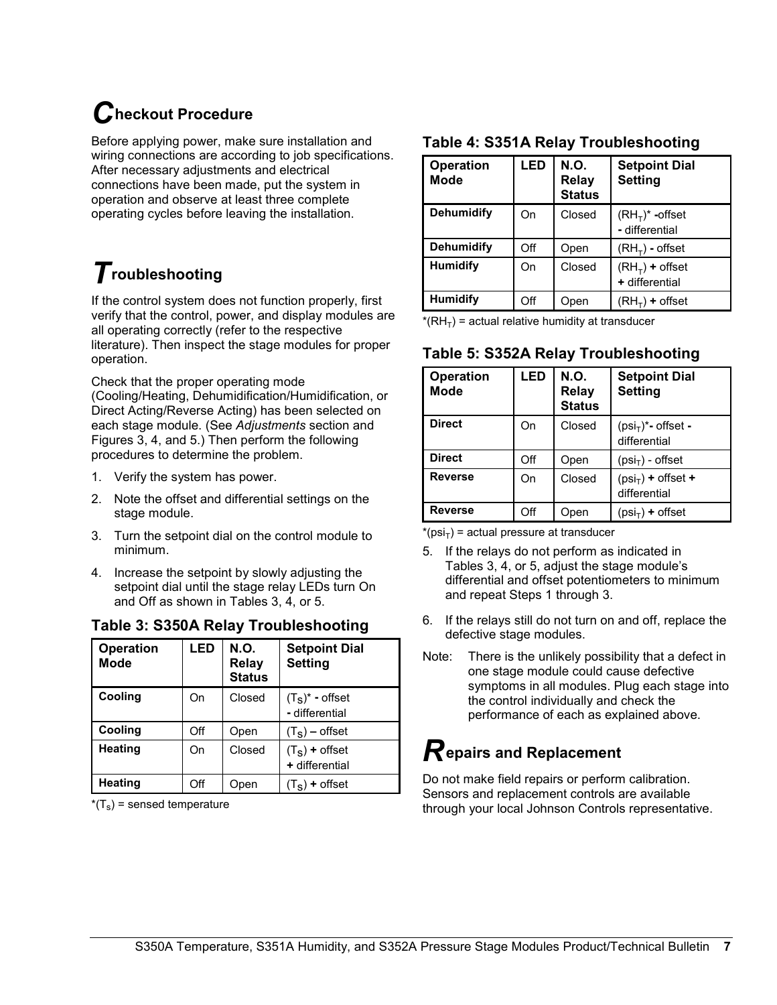## *C***heckout Procedure**

Before applying power, make sure installation and wiring connections are according to job specifications. After necessary adjustments and electrical connections have been made, put the system in operation and observe at least three complete operating cycles before leaving the installation.

## *T***roubleshooting**

If the control system does not function properly, first verify that the control, power, and display modules are all operating correctly (refer to the respective literature). Then inspect the stage modules for proper operation.

Check that the proper operating mode (Cooling/Heating, Dehumidification/Humidification, or Direct Acting/Reverse Acting) has been selected on each stage module. (See *Adjustments* section and Figures 3, 4, and 5.) Then perform the following procedures to determine the problem.

- 1. Verify the system has power.
- 2. Note the offset and differential settings on the stage module.
- 3. Turn the setpoint dial on the control module to minimum.
- 4. Increase the setpoint by slowly adjusting the setpoint dial until the stage relay LEDs turn On and Off as shown in Tables 3, 4, or 5.

#### **Table 3: S350A Relay Troubleshooting**

| <b>Operation</b><br><b>Mode</b> | LED | N.O.<br><b>Relay</b><br><b>Status</b> | <b>Setpoint Dial</b><br><b>Setting</b>            |
|---------------------------------|-----|---------------------------------------|---------------------------------------------------|
| Cooling                         | On  | Closed                                | $(T_S)^*$ - offset<br>- differential              |
| Cooling                         | Off | Open                                  | $(T_s)$ – offset                                  |
| <b>Heating</b>                  | On  | Closed                                | $(T_S)$ + offset<br>+ differential                |
| Heating                         | Off | Open                                  | + offset<br>$\begin{pmatrix} 1 & 1 \end{pmatrix}$ |

 $*(T_s)$  = sensed temperature

### **Table 4: S351A Relay Troubleshooting**

| <b>Operation</b><br><b>Mode</b> | LED | N.O.<br><b>Relay</b><br><b>Status</b> | <b>Setpoint Dial</b><br><b>Setting</b> |
|---------------------------------|-----|---------------------------------------|----------------------------------------|
| <b>Dehumidify</b>               | On  | Closed                                | $(RHT)^*$ -offset<br>- differential    |
| <b>Dehumidify</b>               | Off | Open                                  | $(RHT)$ - offset                       |
| <b>Humidify</b>                 | On  | Closed                                | $(RHT)$ + offset<br>+ differential     |
| <b>Humidify</b>                 | Off | Open                                  | $(RH-) +$ offset                       |

 $*(RH_T)$  = actual relative humidity at transducer

### **Table 5: S352A Relay Troubleshooting**

| <b>Operation</b><br><b>Mode</b> | LED | N.O.<br><b>Relay</b><br><b>Status</b> | <b>Setpoint Dial</b><br><b>Setting</b>  |
|---------------------------------|-----|---------------------------------------|-----------------------------------------|
| <b>Direct</b>                   | On  | Closed                                | $(psi_T)^*$ - offset -<br>differential  |
| <b>Direct</b>                   | Off | Open                                  | $(psiT)$ - offset                       |
| <b>Reverse</b>                  | On  | Closed                                | $(ps_i + 0)$ + offset +<br>differential |
| <b>Reverse</b>                  | Off | Open                                  | $(psi_{\tau})$ + offset                 |

 $*(psi_{\text{IS}})$  = actual pressure at transducer

- 5. If the relays do not perform as indicated in Tables 3, 4, or 5, adjust the stage module's differential and offset potentiometers to minimum and repeat Steps 1 through 3.
- 6. If the relays still do not turn on and off, replace the defective stage modules.
- Note: There is the unlikely possibility that a defect in one stage module could cause defective symptoms in all modules. Plug each stage into the control individually and check the performance of each as explained above.

### *R***epairs and Replacement**

Do not make field repairs or perform calibration. Sensors and replacement controls are available through your local Johnson Controls representative.